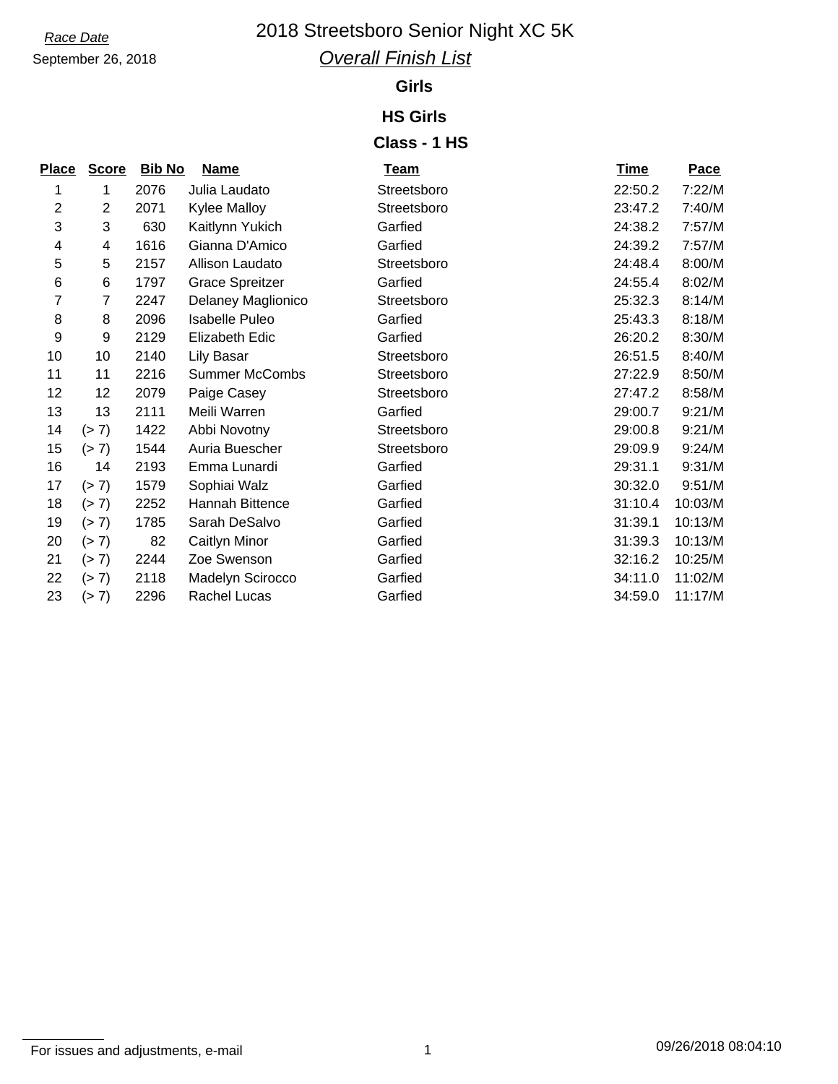### *Race Date* 2018 Streetsboro Senior Night XC 5K

September 26, 2018

### *Overall Finish List*

#### **Girls**

#### **HS Girls**

#### **Class - 1 HS**

| <b>Score</b>    |      | <b>Name</b>            | <b>Team</b>   | <b>Time</b> | Pace    |
|-----------------|------|------------------------|---------------|-------------|---------|
| 1               | 2076 | Julia Laudato          | Streetsboro   | 22:50.2     | 7:22/M  |
| $\overline{2}$  | 2071 | <b>Kylee Malloy</b>    | Streetsboro   | 23:47.2     | 7:40/M  |
| 3               | 630  | Kaitlynn Yukich        | Garfied       | 24:38.2     | 7:57/M  |
| 4               | 1616 | Gianna D'Amico         | Garfied       | 24:39.2     | 7:57/M  |
| 5               | 2157 | Allison Laudato        | Streetsboro   | 24:48.4     | 8:00/M  |
| 6               | 1797 | <b>Grace Spreitzer</b> | Garfied       | 24:55.4     | 8:02/M  |
| 7               | 2247 | Delaney Maglionico     | Streetsboro   | 25:32.3     | 8:14/M  |
| 8               | 2096 | Isabelle Puleo         | Garfied       | 25:43.3     | 8:18/M  |
| 9               | 2129 | Elizabeth Edic         | Garfied       | 26:20.2     | 8:30/M  |
| 10 <sub>1</sub> | 2140 | Lily Basar             | Streetsboro   | 26:51.5     | 8:40/M  |
| 11              | 2216 | <b>Summer McCombs</b>  | Streetsboro   | 27:22.9     | 8:50/M  |
| 12              | 2079 | Paige Casey            | Streetsboro   | 27:47.2     | 8:58/M  |
| 13              | 2111 | Meili Warren           | Garfied       | 29:00.7     | 9:21/M  |
| (> 7)           | 1422 | Abbi Novotny           | Streetsboro   | 29:00.8     | 9:21/M  |
| (> 7)           | 1544 | Auria Buescher         | Streetsboro   | 29:09.9     | 9:24/M  |
| 14              | 2193 | Emma Lunardi           | Garfied       | 29:31.1     | 9:31/M  |
| (> 7)           | 1579 | Sophiai Walz           | Garfied       | 30:32.0     | 9:51/M  |
| (> 7)           | 2252 | Hannah Bittence        | Garfied       | 31:10.4     | 10:03/M |
| (> 7)           | 1785 | Sarah DeSalvo          | Garfied       | 31:39.1     | 10:13/M |
| (> 7)           | 82   | Caitlyn Minor          | Garfied       | 31:39.3     | 10:13/M |
| (> 7)           | 2244 | Zoe Swenson            | Garfied       | 32:16.2     | 10:25/M |
| (> 7)           | 2118 | Madelyn Scirocco       | Garfied       | 34:11.0     | 11:02/M |
| (> 7)           | 2296 | Rachel Lucas           | Garfied       | 34:59.0     | 11:17/M |
|                 |      |                        | <b>Bib No</b> |             |         |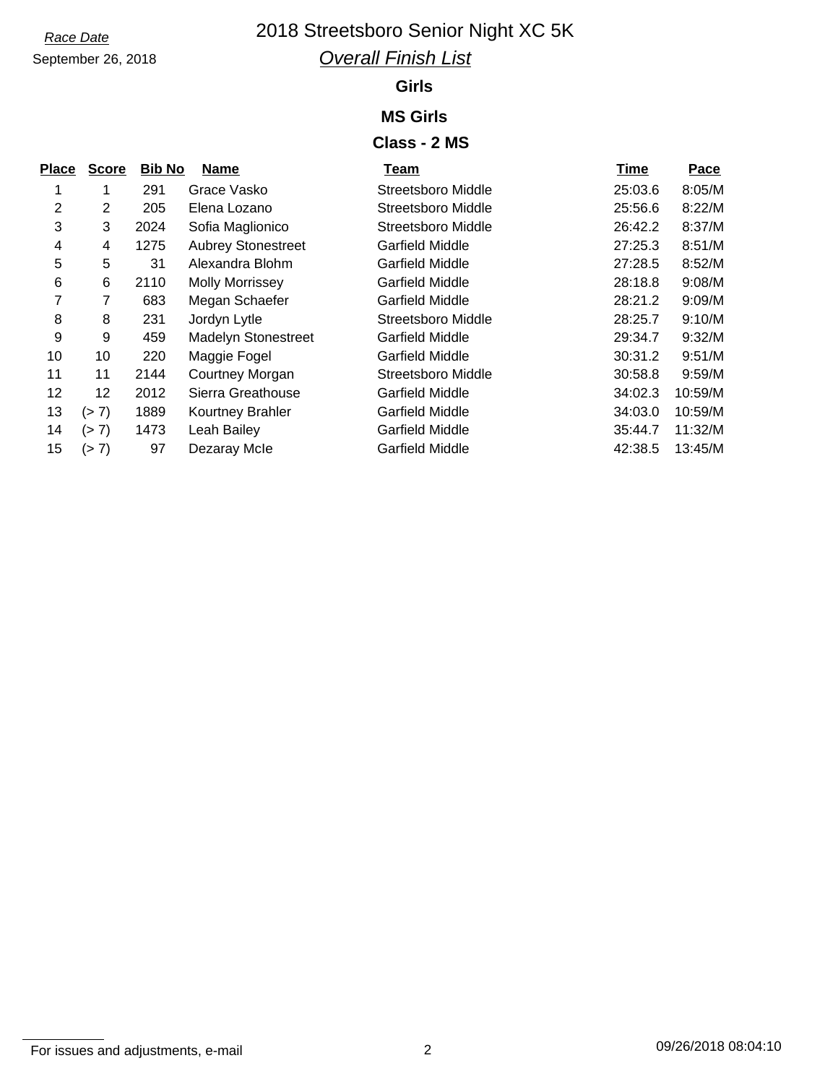# September 26, 2018

### *Race Date* 2018 Streetsboro Senior Night XC 5K *Overall Finish List*

#### **Girls**

#### **MS Girls**

#### **Class - 2 MS**

| <b>Place</b> | <b>Score</b> | <b>Bib No</b> | <b>Name</b>                | Team                      | <b>Time</b> | Pace    |
|--------------|--------------|---------------|----------------------------|---------------------------|-------------|---------|
|              | 1            | 291           | Grace Vasko                | Streetsboro Middle        | 25:03.6     | 8:05/M  |
| 2            | 2            | 205           | Elena Lozano               | Streetsboro Middle        | 25:56.6     | 8:22/M  |
| 3            | 3            | 2024          | Sofia Maglionico           | <b>Streetsboro Middle</b> | 26:42.2     | 8:37/M  |
| 4            | 4            | 1275          | <b>Aubrey Stonestreet</b>  | Garfield Middle           | 27:25.3     | 8:51/M  |
| 5            | 5            | 31            | Alexandra Blohm            | Garfield Middle           | 27:28.5     | 8:52/M  |
| 6            | 6            | 2110          | <b>Molly Morrissey</b>     | <b>Garfield Middle</b>    | 28:18.8     | 9:08/M  |
| 7            | 7            | 683           | Megan Schaefer             | <b>Garfield Middle</b>    | 28:21.2     | 9:09/M  |
| 8            | 8            | 231           | Jordyn Lytle               | Streetsboro Middle        | 28:25.7     | 9:10/M  |
| 9            | 9            | 459           | <b>Madelyn Stonestreet</b> | <b>Garfield Middle</b>    | 29:34.7     | 9:32/M  |
| 10           | 10           | 220           | Maggie Fogel               | <b>Garfield Middle</b>    | 30:31.2     | 9:51/M  |
| 11           | 11           | 2144          | Courtney Morgan            | <b>Streetsboro Middle</b> | 30:58.8     | 9:59/M  |
| 12           | 12           | 2012          | Sierra Greathouse          | Garfield Middle           | 34:02.3     | 10:59/M |
| 13           | (> 7)        | 1889          | Kourtney Brahler           | <b>Garfield Middle</b>    | 34:03.0     | 10:59/M |
| 14           | (> 7)        | 1473          | Leah Bailey                | Garfield Middle           | 35:44.7     | 11:32/M |
| 15           | (> 7)        | 97            | Dezaray Mcle               | <b>Garfield Middle</b>    | 42:38.5     | 13:45/M |
|              |              |               |                            |                           |             |         |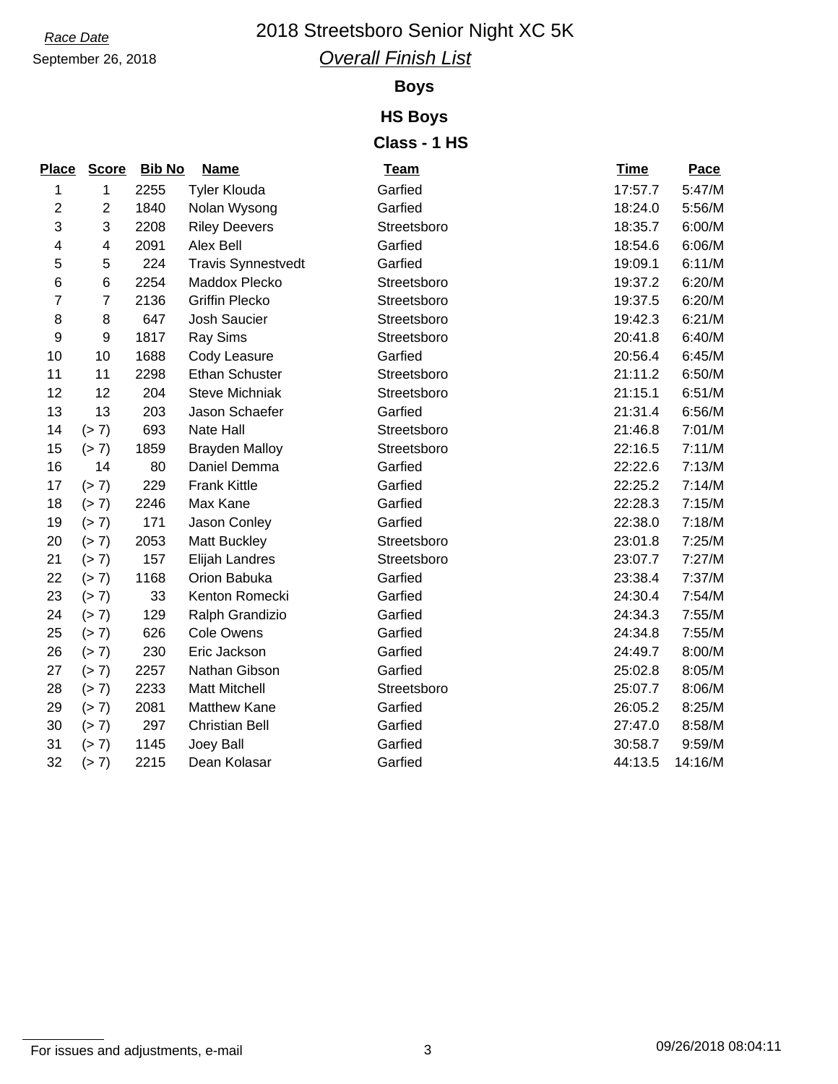# September 26, 2018

## *Race Date* 2018 Streetsboro Senior Night XC 5K

*Overall Finish List*

#### **Boys**

#### **HS Boys Class - 1 HS**

| Place                   | <b>Score</b>    | <b>Bib No</b> | <b>Name</b>               | <b>Team</b> | <b>Time</b> | Pace    |
|-------------------------|-----------------|---------------|---------------------------|-------------|-------------|---------|
| 1                       | 1               | 2255          | <b>Tyler Klouda</b>       | Garfied     | 17:57.7     | 5:47/M  |
| $\overline{c}$          | $\overline{2}$  | 1840          | Nolan Wysong              | Garfied     | 18:24.0     | 5:56/M  |
| 3                       | 3               | 2208          | <b>Riley Deevers</b>      | Streetsboro | 18:35.7     | 6:00/M  |
| $\overline{\mathbf{4}}$ | $\overline{4}$  | 2091          | Alex Bell                 | Garfied     | 18:54.6     | 6:06/M  |
| 5                       | 5               | 224           | <b>Travis Synnestvedt</b> | Garfied     | 19:09.1     | 6:11/M  |
| $6\phantom{1}6$         | $6\phantom{1}6$ | 2254          | Maddox Plecko             | Streetsboro | 19:37.2     | 6:20/M  |
| $\overline{7}$          | $\overline{7}$  | 2136          | <b>Griffin Plecko</b>     | Streetsboro | 19:37.5     | 6:20/M  |
| 8                       | 8               | 647           | Josh Saucier              | Streetsboro | 19:42.3     | 6:21/M  |
| 9                       | 9               | 1817          | Ray Sims                  | Streetsboro | 20:41.8     | 6:40/M  |
| 10                      | 10              | 1688          | Cody Leasure              | Garfied     | 20:56.4     | 6:45/M  |
| 11                      | 11              | 2298          | <b>Ethan Schuster</b>     | Streetsboro | 21:11.2     | 6:50/M  |
| 12                      | 12              | 204           | <b>Steve Michniak</b>     | Streetsboro | 21:15.1     | 6:51/M  |
| 13                      | 13              | 203           | Jason Schaefer            | Garfied     | 21:31.4     | 6:56/M  |
| 14                      | (> 7)           | 693           | Nate Hall                 | Streetsboro | 21:46.8     | 7:01/M  |
| 15                      | (> 7)           | 1859          | <b>Brayden Malloy</b>     | Streetsboro | 22:16.5     | 7:11/M  |
| 16                      | 14              | 80            | Daniel Demma              | Garfied     | 22:22.6     | 7:13/M  |
| 17                      | (> 7)           | 229           | <b>Frank Kittle</b>       | Garfied     | 22:25.2     | 7:14/M  |
| 18                      | (> 7)           | 2246          | Max Kane                  | Garfied     | 22:28.3     | 7:15/M  |
| 19                      | (> 7)           | 171           | Jason Conley              | Garfied     | 22:38.0     | 7:18/M  |
| 20                      | (> 7)           | 2053          | <b>Matt Buckley</b>       | Streetsboro | 23:01.8     | 7:25/M  |
| 21                      | (> 7)           | 157           | Elijah Landres            | Streetsboro | 23:07.7     | 7:27/M  |
| 22                      | (> 7)           | 1168          | Orion Babuka              | Garfied     | 23:38.4     | 7:37/M  |
| 23                      | (> 7)           | 33            | Kenton Romecki            | Garfied     | 24:30.4     | 7:54/M  |
| 24                      | (> 7)           | 129           | Ralph Grandizio           | Garfied     | 24:34.3     | 7:55/M  |
| 25                      | (> 7)           | 626           | <b>Cole Owens</b>         | Garfied     | 24:34.8     | 7:55/M  |
| 26                      | (> 7)           | 230           | Eric Jackson              | Garfied     | 24:49.7     | 8:00/M  |
| 27                      | (> 7)           | 2257          | Nathan Gibson             | Garfied     | 25:02.8     | 8:05/M  |
| 28                      | (> 7)           | 2233          | <b>Matt Mitchell</b>      | Streetsboro | 25:07.7     | 8:06/M  |
| 29                      | (> 7)           | 2081          | <b>Matthew Kane</b>       | Garfied     | 26:05.2     | 8:25/M  |
| 30                      | (> 7)           | 297           | <b>Christian Bell</b>     | Garfied     | 27:47.0     | 8:58/M  |
| 31                      | (> 7)           | 1145          | Joey Ball                 | Garfied     | 30:58.7     | 9:59/M  |
| 32                      | (> 7)           | 2215          | Dean Kolasar              | Garfied     | 44:13.5     | 14:16/M |

For issues and adjustments, e-mail 3 09/26/2018 08:04:11